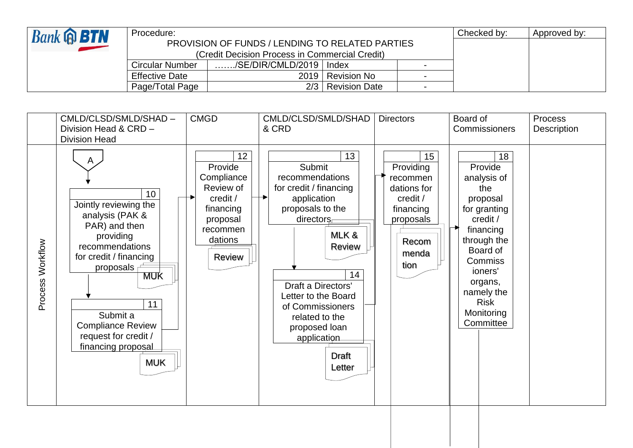| <b>Bank @ BTN</b> | Procedure:                                             |                           |                      | Checked by: | Approved by: |  |
|-------------------|--------------------------------------------------------|---------------------------|----------------------|-------------|--------------|--|
|                   | <b>PROVISION OF FUNDS / LENDING TO RELATED PARTIES</b> |                           |                      |             |              |  |
|                   | (Credit Decision Process in Commercial Credit)         |                           |                      |             |              |  |
|                   | Circular Number                                        | /SE/DIR/CMLD/2019   Index |                      |             |              |  |
|                   | <b>Effective Date</b>                                  | 2019                      | <b>Revision No</b>   |             |              |  |
|                   | Page/Total Page                                        | 2/3                       | <b>Revision Date</b> |             |              |  |

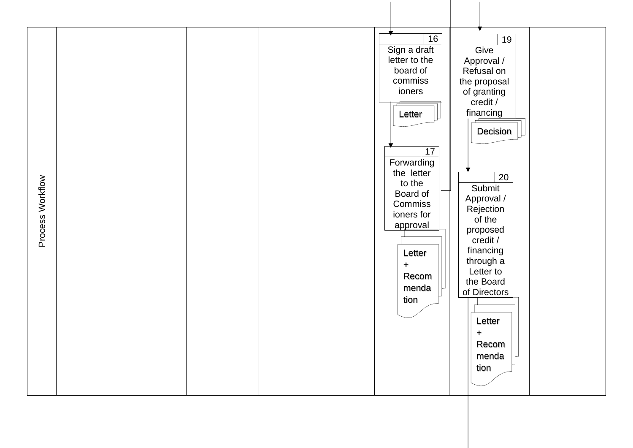